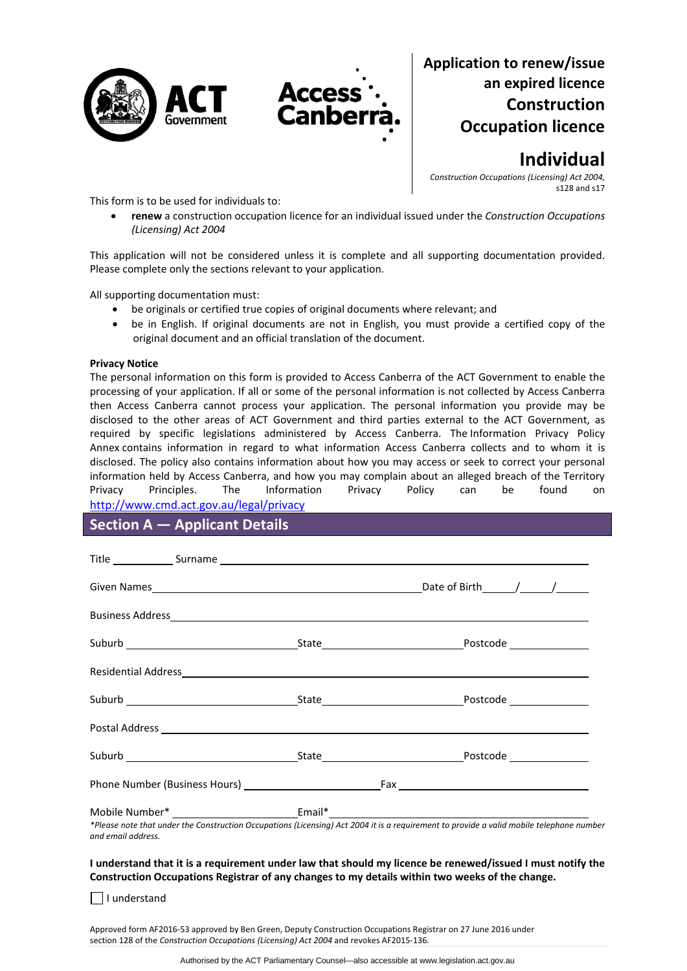



# **Application to renew/issue an expired licence Construction Occupation licence**

# **Individual**

*Construction Occupations (Licensing) Act 2004,* s128 and s17

This form is to be used for individuals to:

 **renew** a construction occupation licence for an individual issued under the *Construction Occupations (Licensing) Act 2004*

This application will not be considered unless it is complete and all supporting documentation provided. Please complete only the sections relevant to your application.

All supporting documentation must:

- be originals or certified true copies of original documents where relevant; and
- be in English. If original documents are not in English, you must provide a certified copy of the original document and an official translation of the document.

#### **Privacy Notice**

The personal information on this form is provided to Access Canberra of the ACT Government to enable the processing of your application. If all or some of the personal information is not collected by Access Canberra then Access Canberra cannot process your application. The personal information you provide may be disclosed to the other areas of ACT Government and third parties external to the ACT Government, as required by specific legislations administered by Access Canberra. The [Information](http://www.environment.act.gov.au/__data/assets/pdf_file/0006/633741/Information-Privacy-Policy-Annex.pdf) Privacy Policy [Annex](http://www.environment.act.gov.au/__data/assets/pdf_file/0006/633741/Information-Privacy-Policy-Annex.pdf) contains information in regard to what information Access Canberra collects and to whom it is disclosed. The policy also contains information about how you may access or seek to correct your personal information held by Access Canberra, and how you may complain about an alleged breach of the Territory Privacy Principles. The Information Privacy Policy can be found on <http://www.cmd.act.gov.au/legal/privacy>

## **Section A — Applicant Details**

|                                                                                                                 | Residential Address et al. 2010 and 2010 and 2010 and 2010 and 2010 and 2010 and 2010 and 2010 and 2010 and 20                                                                                                                                                                                                                                                                                                                                            |
|-----------------------------------------------------------------------------------------------------------------|-----------------------------------------------------------------------------------------------------------------------------------------------------------------------------------------------------------------------------------------------------------------------------------------------------------------------------------------------------------------------------------------------------------------------------------------------------------|
|                                                                                                                 |                                                                                                                                                                                                                                                                                                                                                                                                                                                           |
|                                                                                                                 |                                                                                                                                                                                                                                                                                                                                                                                                                                                           |
|                                                                                                                 |                                                                                                                                                                                                                                                                                                                                                                                                                                                           |
|                                                                                                                 |                                                                                                                                                                                                                                                                                                                                                                                                                                                           |
| 2012년 1월 1일 - 1월 1일 - 1월 1일 - 1월 1일 - 1월 1일 - 1월 1일 - 1월 1일 - 1월 1일 - 1월 1일 - 1월 1일 - 1월 1일 - 1월 1일 - 1월 1일 - 1 | $\mathcal{L} = \mathcal{L} \mathcal{L} = \mathcal{L} \mathcal{L} = \mathcal{L} \mathcal{L} = \mathcal{L} \mathcal{L} = \mathcal{L} \mathcal{L} = \mathcal{L} \mathcal{L} = \mathcal{L} \mathcal{L} = \mathcal{L} \mathcal{L} = \mathcal{L} \mathcal{L} = \mathcal{L} \mathcal{L} = \mathcal{L} \mathcal{L} = \mathcal{L} \mathcal{L} = \mathcal{L} \mathcal{L} = \mathcal{L} \mathcal{L} \mathcal{L} = \mathcal{L} \mathcal{L} \mathcal{L} = \mathcal{L}$ |

\*Please note that under the Construction Occupations (Licensing) Act 2004 it is a requirement to provide a valid mobile telephone number *and email address.* 

#### I understand that it is a requirement under law that should my licence be renewed/issued I must notify the **Construction Occupations Registrar of any changes to my details within two weeks of the change.**

I understand

Approved form AF2016‐53 approved by Ben Green, Deputy Construction Occupations Registrar on 27 June 2016 under section 128 of the *Construction Occupations (Licensing) Act 2004* and revokes AF2015‐136*.*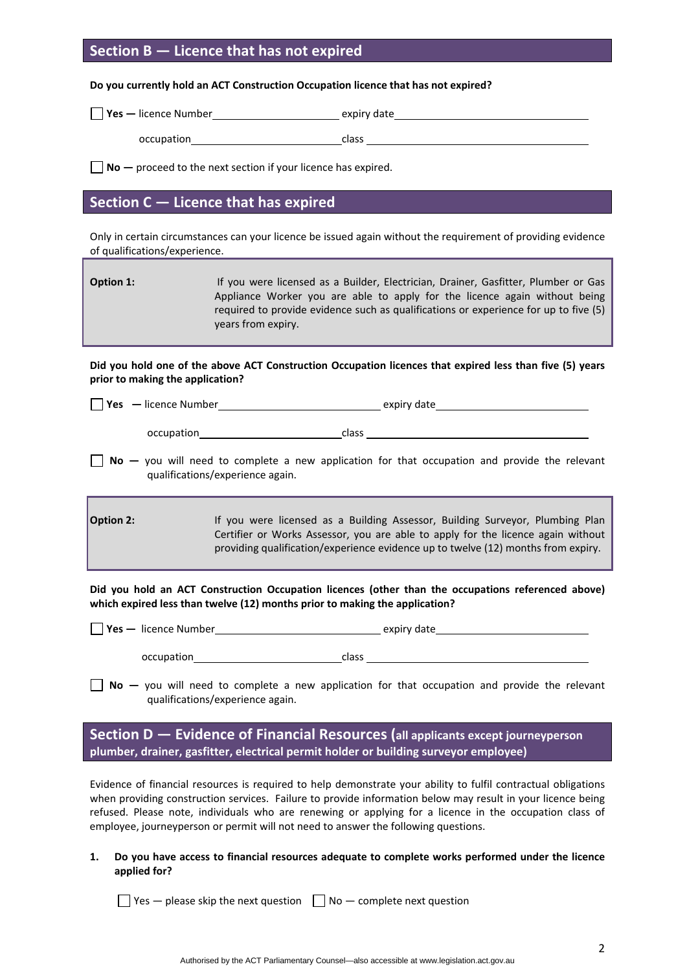## **Section B — Licence that has not expired**

#### **Do you currently hold an ACT Construction Occupation licence that has not expired?**

| $ $ Yes $-$ licence Number | expiry date |
|----------------------------|-------------|
| occupation                 | class       |

**No** — proceed to the next section if your licence has expired.

## **Section C — Licence that has expired**

Only in certain circumstances can your licence be issued again without the requirement of providing evidence of qualifications/experience.

| Option 1: | If you were licensed as a Builder, Electrician, Drainer, Gasfitter, Plumber or Gas   |
|-----------|--------------------------------------------------------------------------------------|
|           | Appliance Worker you are able to apply for the licence again without being           |
|           | required to provide evidence such as qualifications or experience for up to five (5) |
|           | years from expiry.                                                                   |

Did you hold one of the above ACT Construction Occupation licences that expired less than five (5) years **prior to making the application?**

| l Yes<br>— licence Number | expiry date |
|---------------------------|-------------|
|                           |             |

occupation class

**No** – you will need to complete a new application for that occupation and provide the relevant qualifications/experience again.

**Option 2: 11 If you were licensed as a Building Assessor, Building Surveyor, Plumbing Plan** Certifier or Works Assessor, you are able to apply for the licence again without providing qualification/experience evidence up to twelve (12) months from expiry.

**Did you hold an ACT Construction Occupation licences (other than the occupations referenced above) which expired less than twelve (12) months prior to making the application?**

| <b>Yes</b> — licence Number | expiry date |
|-----------------------------|-------------|
|                             |             |

**No** – you will need to complete a new application for that occupation and provide the relevant qualifications/experience again.

**Section D — Evidence of Financial Resources (all applicants except journeyperson plumber, drainer, gasfitter, electrical permit holder or building surveyor employee)**

Evidence of financial resources is required to help demonstrate your ability to fulfil contractual obligations when providing construction services. Failure to provide information below may result in your licence being refused. Please note, individuals who are renewing or applying for a licence in the occupation class of employee, journeyperson or permit will not need to answer the following questions.

**1. Do you have access to financial resources adequate to complete works performed under the licence applied for?** 

 $\Box$  Yes — please skip the next question  $\Box$  No — complete next question

occupation class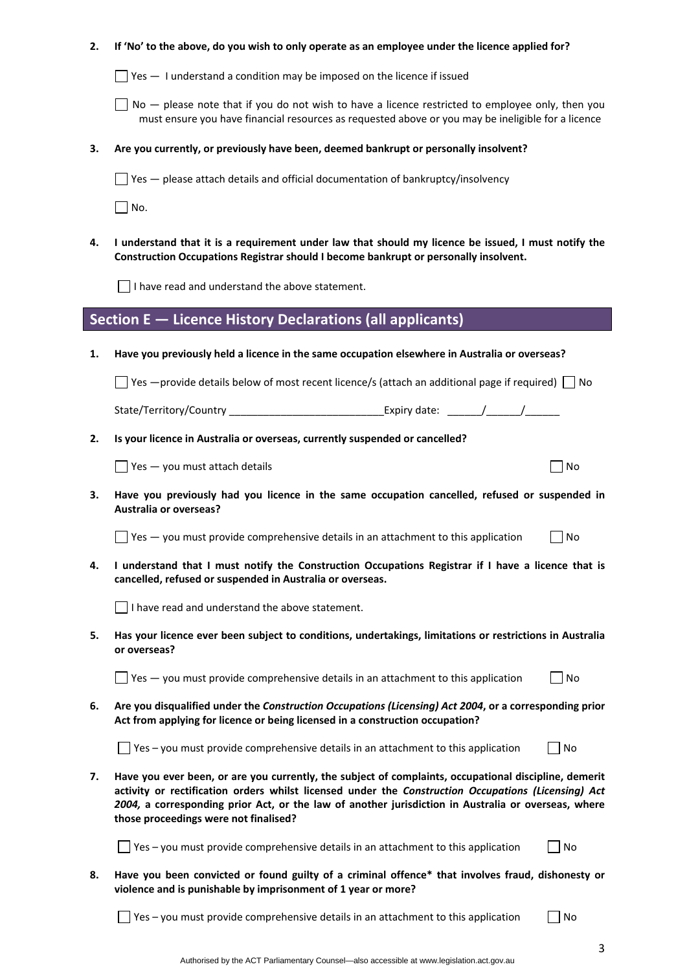### 2. If 'No' to the above, do you wish to only operate as an employee under the licence applied for?

 $\Box$  Yes  $-$  1 understand a condition may be imposed on the licence if issued

 $\Box$  No  $-$  please note that if you do not wish to have a licence restricted to employee only, then you must ensure you have financial resources as requested above or you may be ineligible for a licence

#### **3. Are you currently, or previously have been, deemed bankrupt or personally insolvent?**

 $\Box$  Yes  $-$  please attach details and official documentation of bankruptcy/insolvency

 $\Box$  No.

4. I understand that it is a requirement under law that should my licence be issued, I must notify the **Construction Occupations Registrar should I become bankrupt or personally insolvent.** 

 $\Box$  I have read and understand the above statement.

## **Section E — Licence History Declarations (all applicants)**

**1. Have you previously held a licence in the same occupation elsewhere in Australia or overseas?** 

 $\Box$  Yes —provide details below of most recent licence/s (attach an additional page if required)  $\Box$  No

State/Territory/Country and the state: the state: the state of the state of the state of the state of the state

**2. Is your licence in Australia or overseas, currently suspended or cancelled?** 

 $\Box$  Yes — you must attach details  $\Box$ 

**3. Have you previously had you licence in the same occupation cancelled, refused or suspended in Australia or overseas?** 

 $\Box$  Yes — you must provide comprehensive details in an attachment to this application  $\Box$  No

4. I understand that I must notify the Construction Occupations Registrar if I have a licence that is **cancelled, refused or suspended in Australia or overseas.** 

I have read and understand the above statement.

**5. Has your licence ever been subject to conditions, undertakings, limitations or restrictions in Australia or overseas?** 

 $\Box$  Yes  $-$  you must provide comprehensive details in an attachment to this application  $\Box$  No

**6. Are you disqualified under the** *Construction Occupations (Licensing) Act 2004***, or a corresponding prior Act from applying for licence or being licensed in a construction occupation?** 

 $\Box$  Yes – you must provide comprehensive details in an attachment to this application  $\Box$  No

**7. Have you ever been, or are you currently, the subject of complaints, occupational discipline, demerit activity or rectification orders whilst licensed under the** *Construction Occupations (Licensing) Act 2004,* **a corresponding prior Act, or the law of another jurisdiction in Australia or overseas, where those proceedings were not finalised?** 

 $\Box$  Yes – you must provide comprehensive details in an attachment to this application  $\Box$  No

**8. Have you been convicted or found guilty of a criminal offence\* that involves fraud, dishonesty or violence and is punishable by imprisonment of 1 year or more?** 

 $\Box$  Yes – you must provide comprehensive details in an attachment to this application  $\Box$  No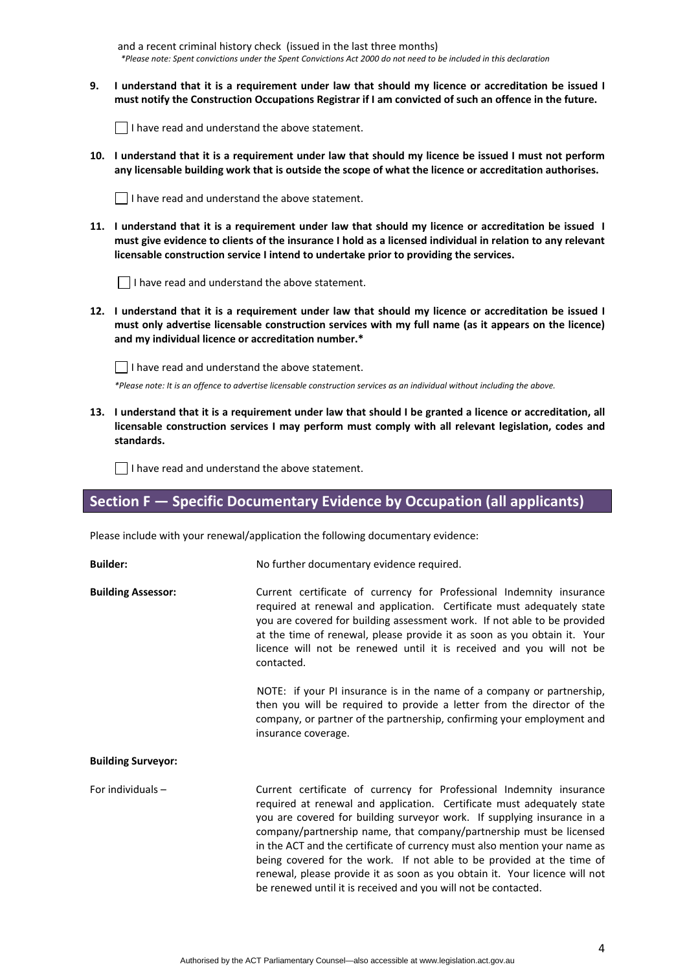and a recent criminal history check (issued in the last three months) \*Please note: Spent convictions under the Spent Convictions Act 2000 do not need to be included in this declaration

9. I understand that it is a requirement under law that should my licence or accreditation be issued I must notify the Construction Occupations Registrar if I am convicted of such an offence in the future.

 $\Box$  I have read and understand the above statement.

10. I understand that it is a requirement under law that should my licence be issued I must not perform any licensable building work that is outside the scope of what the licence or accreditation authorises.



11. I understand that it is a requirement under law that should my licence or accreditation be issued I must give evidence to clients of the insurance I hold as a licensed individual in relation to any relevant **licensable construction service I intend to undertake prior to providing the services.** 

I have read and understand the above statement.

12. I understand that it is a requirement under law that should my licence or accreditation be issued I **must only advertise licensable construction services with my full name (as it appears on the licence) and my individual licence or accreditation number.\*** 

I have read and understand the above statement.

\*Please note: It is an offence to advertise licensable construction services as an individual without including the above.

13. I understand that it is a requirement under law that should I be granted a licence or accreditation, all **licensable construction services I may perform must comply with all relevant legislation, codes and standards.** 

 $\Box$  I have read and understand the above statement.

## **Section F — Specific Documentary Evidence by Occupation (all applicants)**

Please include with your renewal/application the following documentary evidence:

| <b>Builder:</b>           | No further documentary evidence required.                                                                                                                                                                                                                                                                                                                                                                                                                                                                                                                                                              |
|---------------------------|--------------------------------------------------------------------------------------------------------------------------------------------------------------------------------------------------------------------------------------------------------------------------------------------------------------------------------------------------------------------------------------------------------------------------------------------------------------------------------------------------------------------------------------------------------------------------------------------------------|
| <b>Building Assessor:</b> | Current certificate of currency for Professional Indemnity insurance<br>required at renewal and application. Certificate must adequately state<br>you are covered for building assessment work. If not able to be provided<br>at the time of renewal, please provide it as soon as you obtain it. Your<br>licence will not be renewed until it is received and you will not be<br>contacted.                                                                                                                                                                                                           |
|                           | NOTE: if your PI insurance is in the name of a company or partnership,<br>then you will be required to provide a letter from the director of the<br>company, or partner of the partnership, confirming your employment and<br>insurance coverage.                                                                                                                                                                                                                                                                                                                                                      |
| <b>Building Surveyor:</b> |                                                                                                                                                                                                                                                                                                                                                                                                                                                                                                                                                                                                        |
| For individuals $-$       | Current certificate of currency for Professional Indemnity insurance<br>required at renewal and application. Certificate must adequately state<br>you are covered for building surveyor work. If supplying insurance in a<br>company/partnership name, that company/partnership must be licensed<br>in the ACT and the certificate of currency must also mention your name as<br>being covered for the work. If not able to be provided at the time of<br>renewal, please provide it as soon as you obtain it. Your licence will not<br>be renewed until it is received and you will not be contacted. |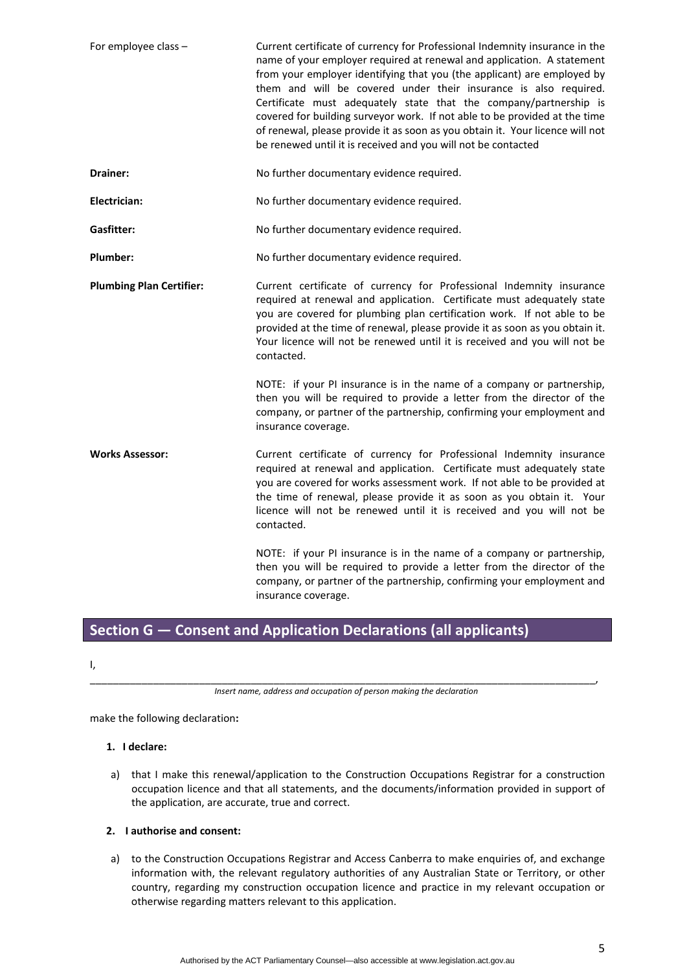| For employee class -            | Current certificate of currency for Professional Indemnity insurance in the<br>name of your employer required at renewal and application. A statement<br>from your employer identifying that you (the applicant) are employed by<br>them and will be covered under their insurance is also required.<br>Certificate must adequately state that the company/partnership is<br>covered for building surveyor work. If not able to be provided at the time<br>of renewal, please provide it as soon as you obtain it. Your licence will not<br>be renewed until it is received and you will not be contacted |
|---------------------------------|-----------------------------------------------------------------------------------------------------------------------------------------------------------------------------------------------------------------------------------------------------------------------------------------------------------------------------------------------------------------------------------------------------------------------------------------------------------------------------------------------------------------------------------------------------------------------------------------------------------|
| Drainer:                        | No further documentary evidence required.                                                                                                                                                                                                                                                                                                                                                                                                                                                                                                                                                                 |
| Electrician:                    | No further documentary evidence required.                                                                                                                                                                                                                                                                                                                                                                                                                                                                                                                                                                 |
| Gasfitter:                      | No further documentary evidence required.                                                                                                                                                                                                                                                                                                                                                                                                                                                                                                                                                                 |
| Plumber:                        | No further documentary evidence required.                                                                                                                                                                                                                                                                                                                                                                                                                                                                                                                                                                 |
| <b>Plumbing Plan Certifier:</b> | Current certificate of currency for Professional Indemnity insurance<br>required at renewal and application. Certificate must adequately state<br>you are covered for plumbing plan certification work. If not able to be<br>provided at the time of renewal, please provide it as soon as you obtain it.<br>Your licence will not be renewed until it is received and you will not be<br>contacted.                                                                                                                                                                                                      |
|                                 | NOTE: if your PI insurance is in the name of a company or partnership,<br>then you will be required to provide a letter from the director of the<br>company, or partner of the partnership, confirming your employment and<br>insurance coverage.                                                                                                                                                                                                                                                                                                                                                         |
| <b>Works Assessor:</b>          | Current certificate of currency for Professional Indemnity insurance<br>required at renewal and application. Certificate must adequately state<br>you are covered for works assessment work. If not able to be provided at<br>the time of renewal, please provide it as soon as you obtain it. Your<br>licence will not be renewed until it is received and you will not be<br>contacted.                                                                                                                                                                                                                 |
|                                 | NOTE: if your PI insurance is in the name of a company or partnership,<br>then you will be required to provide a letter from the director of the<br>company, or partner of the partnership, confirming your employment and<br>insurance coverage.                                                                                                                                                                                                                                                                                                                                                         |

# **Section G — Consent and Application Declarations (all applicants)**

I,

\_\_\_\_\_\_\_\_\_\_\_\_\_\_\_\_\_\_\_\_\_\_\_\_\_\_\_\_\_\_\_\_\_\_\_\_\_\_\_\_\_\_\_\_\_\_\_\_\_\_\_\_\_\_\_\_\_\_\_\_\_\_\_\_\_\_\_\_\_\_\_\_\_\_\_\_\_\_\_\_\_\_\_\_\_\_\_\_, *Insert name, address and occupation of person making the declaration*

make the following declaration**:**

## **1. I declare:**

a) that I make this renewal/application to the Construction Occupations Registrar for a construction occupation licence and that all statements, and the documents/information provided in support of the application, are accurate, true and correct.

## **2. I authorise and consent:**

a) to the Construction Occupations Registrar and Access Canberra to make enquiries of, and exchange information with, the relevant regulatory authorities of any Australian State or Territory, or other country, regarding my construction occupation licence and practice in my relevant occupation or otherwise regarding matters relevant to this application.